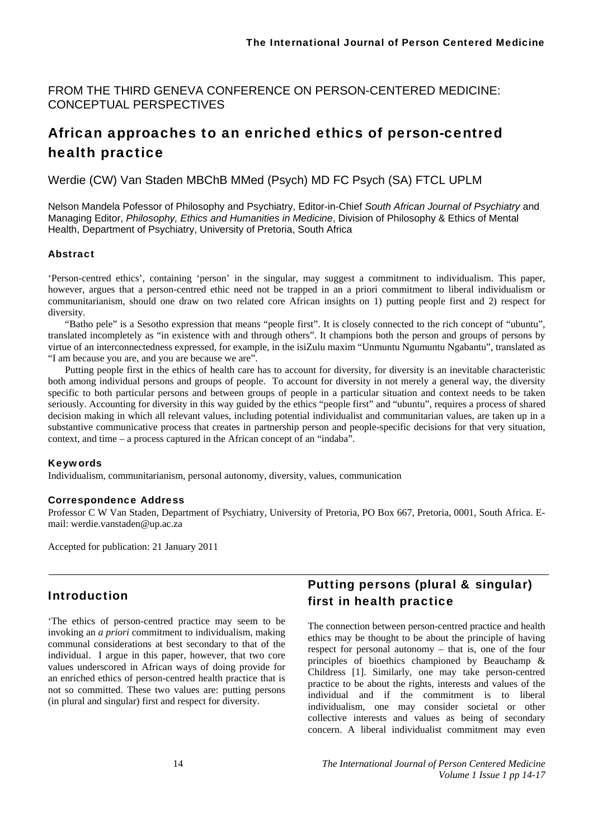FROM THE THIRD GENEVA CONFERENCE ON PERSON-CENTERED MEDICINE: CONCEPTUAL PERSPECTIVES

# African approaches to an enriched ethics of person-centred health practice

Werdie (CW) Van Staden MBChB MMed (Psych) MD FC Psych (SA) FTCL UPLM

Nelson Mandela Pofessor of Philosophy and Psychiatry, Editor-in-Chief *South African Journal of Psychiatry* and Managing Editor, *Philosophy, Ethics and Humanities in Medicine*, Division of Philosophy & Ethics of Mental Health, Department of Psychiatry, University of Pretoria, South Africa

#### Abstract

'Person-centred ethics', containing 'person' in the singular, may suggest a commitment to individualism. This paper, however, argues that a person-centred ethic need not be trapped in an a priori commitment to liberal individualism or communitarianism, should one draw on two related core African insights on 1) putting people first and 2) respect for diversity.

"Batho pele" is a Sesotho expression that means "people first". It is closely connected to the rich concept of "ubuntu", translated incompletely as "in existence with and through others". It champions both the person and groups of persons by virtue of an interconnectedness expressed, for example, in the isiZulu maxim "Unmuntu Ngumuntu Ngabantu", translated as "I am because you are, and you are because we are".

Putting people first in the ethics of health care has to account for diversity, for diversity is an inevitable characteristic both among individual persons and groups of people. To account for diversity in not merely a general way, the diversity specific to both particular persons and between groups of people in a particular situation and context needs to be taken seriously. Accounting for diversity in this way guided by the ethics "people first" and "ubuntu", requires a process of shared decision making in which all relevant values, including potential individualist and communitarian values, are taken up in a substantive communicative process that creates in partnership person and people-specific decisions for that very situation, context, and time – a process captured in the African concept of an "indaba".

#### Keywords

Individualism, communitarianism, personal autonomy, diversity, values, communication

#### Correspondence Address

Professor C W Van Staden, Department of Psychiatry, University of Pretoria, PO Box 667, Pretoria, 0001, South Africa. Email: werdie.vanstaden@up.ac.za

Accepted for publication: 21 January 2011

### Introduction

'The ethics of person-centred practice may seem to be invoking an *a priori* commitment to individualism, making communal considerations at best secondary to that of the individual. I argue in this paper, however, that two core values underscored in African ways of doing provide for an enriched ethics of person-centred health practice that is not so committed. These two values are: putting persons (in plural and singular) first and respect for diversity.

# Putting persons (plural & singular) first in health practice

The connection between person-centred practice and health ethics may be thought to be about the principle of having respect for personal autonomy – that is, one of the four principles of bioethics championed by Beauchamp & Childress [1]. Similarly, one may take person-centred practice to be about the rights, interests and values of the individual and if the commitment is to liberal individualism, one may consider societal or other collective interests and values as being of secondary concern. A liberal individualist commitment may even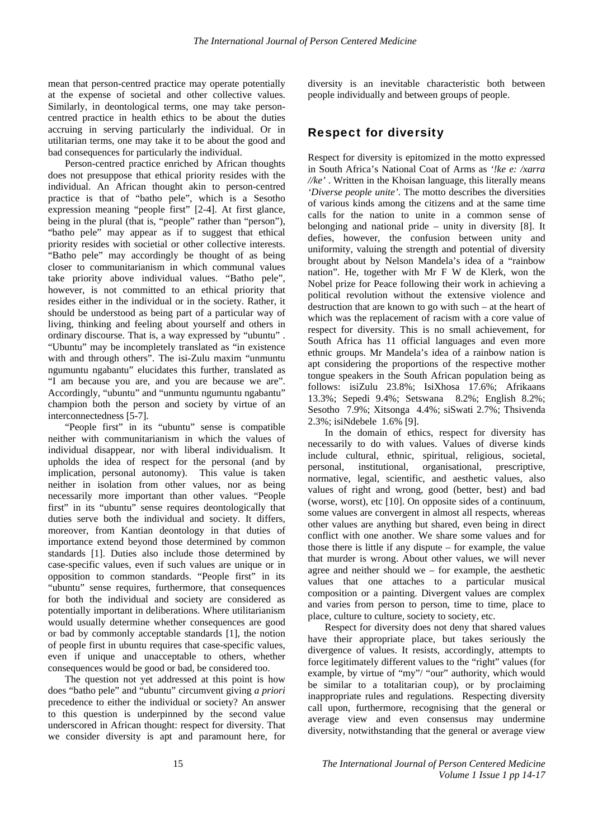mean that person-centred practice may operate potentially at the expense of societal and other collective values. Similarly, in deontological terms, one may take personcentred practice in health ethics to be about the duties accruing in serving particularly the individual. Or in utilitarian terms, one may take it to be about the good and bad consequences for particularly the individual.

Person-centred practice enriched by African thoughts does not presuppose that ethical priority resides with the individual. An African thought akin to person-centred practice is that of "batho pele", which is a Sesotho expression meaning "people first" [2-4]. At first glance, being in the plural (that is, "people" rather than "person"), "batho pele" may appear as if to suggest that ethical priority resides with societial or other collective interests. "Batho pele" may accordingly be thought of as being closer to communitarianism in which communal values take priority above individual values. "Batho pele", however, is not committed to an ethical priority that resides either in the individual or in the society. Rather, it should be understood as being part of a particular way of living, thinking and feeling about yourself and others in ordinary discourse. That is, a way expressed by "ubuntu" . "Ubuntu" may be incompletely translated as "in existence with and through others". The isi-Zulu maxim "unmuntu ngumuntu ngabantu" elucidates this further, translated as "I am because you are, and you are because we are". Accordingly, "ubuntu" and "unmuntu ngumuntu ngabantu" champion both the person and society by virtue of an interconnectedness [5-7].

"People first" in its "ubuntu" sense is compatible neither with communitarianism in which the values of individual disappear, nor with liberal individualism. It upholds the idea of respect for the personal (and by implication, personal autonomy). This value is taken neither in isolation from other values, nor as being necessarily more important than other values. "People first" in its "ubuntu" sense requires deontologically that duties serve both the individual and society. It differs, moreover, from Kantian deontology in that duties of importance extend beyond those determined by common standards [1]. Duties also include those determined by case-specific values, even if such values are unique or in opposition to common standards. "People first" in its "ubuntu" sense requires, furthermore, that consequences for both the individual and society are considered as potentially important in deliberations. Where utilitarianism would usually determine whether consequences are good or bad by commonly acceptable standards [1], the notion of people first in ubuntu requires that case-specific values, even if unique and unacceptable to others, whether consequences would be good or bad, be considered too.

The question not yet addressed at this point is how does "batho pele" and "ubuntu" circumvent giving *a priori* precedence to either the individual or society? An answer to this question is underpinned by the second value underscored in African thought: respect for diversity. That we consider diversity is apt and paramount here, for

diversity is an inevitable characteristic both between people individually and between groups of people.

### Respect for diversity

Respect for diversity is epitomized in the motto expressed in South Africa's National Coat of Arms as *'!ke e: /xarra //ke'* . Written in the Khoisan language, this literally means *'Diverse people unite'*. The motto describes the diversities of various kinds among the citizens and at the same time calls for the nation to unite in a common sense of belonging and national pride – unity in diversity [8]. It defies, however, the confusion between unity and uniformity, valuing the strength and potential of diversity brought about by Nelson Mandela's idea of a "rainbow nation". He, together with Mr F W de Klerk, won the Nobel prize for Peace following their work in achieving a political revolution without the extensive violence and destruction that are known to go with such – at the heart of which was the replacement of racism with a core value of respect for diversity. This is no small achievement, for South Africa has 11 official languages and even more ethnic groups. Mr Mandela's idea of a rainbow nation is apt considering the proportions of the respective mother tongue speakers in the South African population being as follows: isiZulu 23.8%; IsiXhosa 17.6%; Afrikaans 13.3%; Sepedi 9.4%; Setswana 8.2%; English 8.2%; Sesotho 7.9%; Xitsonga 4.4%; siSwati 2.7%; Thsivenda 2.3%; isiNdebele 1.6% [9].

In the domain of ethics, respect for diversity has necessarily to do with values. Values of diverse kinds include cultural, ethnic, spiritual, religious, societal, personal, institutional, organisational, prescriptive, normative, legal, scientific, and aesthetic values, also values of right and wrong, good (better, best) and bad (worse, worst), etc [10]. On opposite sides of a continuum, some values are convergent in almost all respects, whereas other values are anything but shared, even being in direct conflict with one another. We share some values and for those there is little if any dispute – for example, the value that murder is wrong. About other values, we will never agree and neither should we – for example, the aesthetic values that one attaches to a particular musical composition or a painting. Divergent values are complex and varies from person to person, time to time, place to place, culture to culture, society to society, etc.

Respect for diversity does not deny that shared values have their appropriate place, but takes seriously the divergence of values. It resists, accordingly, attempts to force legitimately different values to the "right" values (for example, by virtue of "my"/ "our" authority, which would be similar to a totalitarian coup), or by proclaiming inappropriate rules and regulations. Respecting diversity call upon, furthermore, recognising that the general or average view and even consensus may undermine diversity, notwithstanding that the general or average view

15 *The International Journal of Person Centered Medicine Volume 1 Issue 1 pp 14-17*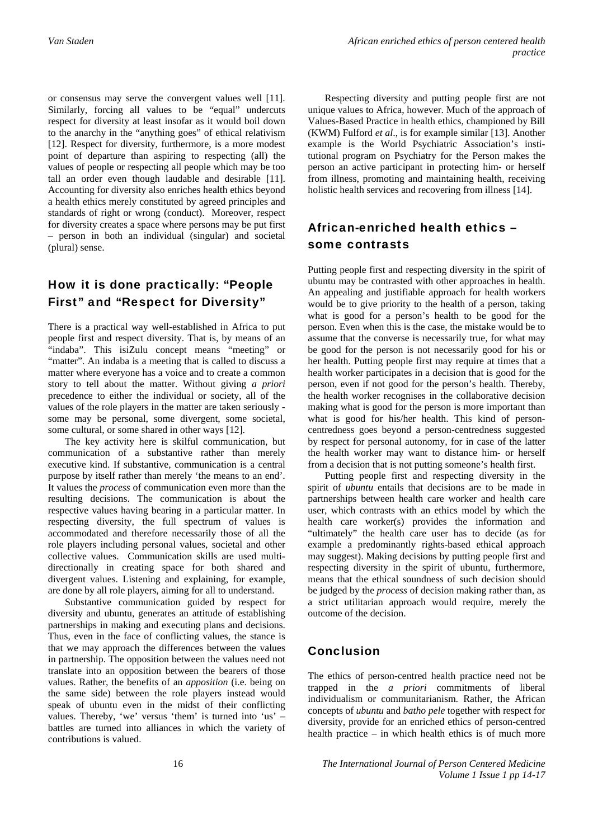or consensus may serve the convergent values well [11]. Similarly, forcing all values to be "equal" undercuts respect for diversity at least insofar as it would boil down to the anarchy in the "anything goes" of ethical relativism [12]. Respect for diversity, furthermore, is a more modest point of departure than aspiring to respecting (all) the values of people or respecting all people which may be too tall an order even though laudable and desirable [11]. Accounting for diversity also enriches health ethics beyond a health ethics merely constituted by agreed principles and standards of right or wrong (conduct). Moreover, respect for diversity creates a space where persons may be put first – person in both an individual (singular) and societal (plural) sense.

# How it is done practically: "People First" and "Respect for Diversity"

There is a practical way well-established in Africa to put people first and respect diversity. That is, by means of an "indaba". This isiZulu concept means "meeting" or "matter". An indaba is a meeting that is called to discuss a matter where everyone has a voice and to create a common story to tell about the matter. Without giving *a priori* precedence to either the individual or society, all of the values of the role players in the matter are taken seriously some may be personal, some divergent, some societal, some cultural, or some shared in other ways [12].

The key activity here is skilful communication, but communication of a substantive rather than merely executive kind. If substantive, communication is a central purpose by itself rather than merely 'the means to an end'. It values the *process* of communication even more than the resulting decisions. The communication is about the respective values having bearing in a particular matter. In respecting diversity, the full spectrum of values is accommodated and therefore necessarily those of all the role players including personal values, societal and other collective values. Communication skills are used multidirectionally in creating space for both shared and divergent values. Listening and explaining, for example, are done by all role players, aiming for all to understand.

Substantive communication guided by respect for diversity and ubuntu, generates an attitude of establishing partnerships in making and executing plans and decisions. Thus, even in the face of conflicting values, the stance is that we may approach the differences between the values in partnership. The opposition between the values need not translate into an opposition between the bearers of those values. Rather, the benefits of an *apposition* (i.e. being on the same side) between the role players instead would speak of ubuntu even in the midst of their conflicting values. Thereby, 'we' versus 'them' is turned into 'us' – battles are turned into alliances in which the variety of contributions is valued.

Respecting diversity and putting people first are not unique values to Africa, however. Much of the approach of Values-Based Practice in health ethics, championed by Bill (KWM) Fulford *et al*., is for example similar [13]. Another example is the World Psychiatric Association's institutional program on Psychiatry for the Person makes the person an active participant in protecting him- or herself from illness, promoting and maintaining health, receiving holistic health services and recovering from illness [14].

# African-enriched health ethics – some contrasts

Putting people first and respecting diversity in the spirit of ubuntu may be contrasted with other approaches in health. An appealing and justifiable approach for health workers would be to give priority to the health of a person, taking what is good for a person's health to be good for the person. Even when this is the case, the mistake would be to assume that the converse is necessarily true, for what may be good for the person is not necessarily good for his or her health. Putting people first may require at times that a health worker participates in a decision that is good for the person, even if not good for the person's health. Thereby, the health worker recognises in the collaborative decision making what is good for the person is more important than what is good for his/her health. This kind of personcentredness goes beyond a person-centredness suggested by respect for personal autonomy, for in case of the latter the health worker may want to distance him- or herself from a decision that is not putting someone's health first.

Putting people first and respecting diversity in the spirit of *ubuntu* entails that decisions are to be made in partnerships between health care worker and health care user, which contrasts with an ethics model by which the health care worker(s) provides the information and "ultimately" the health care user has to decide (as for example a predominantly rights-based ethical approach may suggest). Making decisions by putting people first and respecting diversity in the spirit of ubuntu, furthermore, means that the ethical soundness of such decision should be judged by the *process* of decision making rather than, as a strict utilitarian approach would require, merely the outcome of the decision.

### Conclusion

The ethics of person-centred health practice need not be trapped in the *a priori* commitments of liberal individualism or communitarianism. Rather, the African concepts of *ubuntu* and *batho pele* together with respect for diversity, provide for an enriched ethics of person-centred health practice – in which health ethics is of much more

16 *The International Journal of Person Centered Medicine Volume 1 Issue 1 pp 14-17*